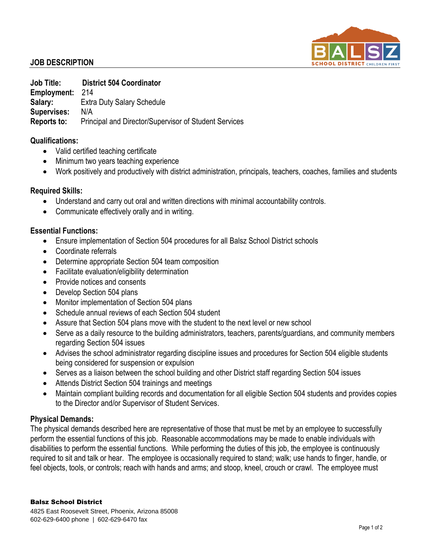

# **JOB DESCRIPTION**

**Job Title: District 504 Coordinator Employment:** 214 **Salary:** Extra Duty Salary Schedule **Supervises:** N/A **Reports to:** Principal and Director/Supervisor of Student Services

## **Qualifications:**

- Valid certified teaching certificate
- Minimum two years teaching experience
- Work positively and productively with district administration, principals, teachers, coaches, families and students

### **Required Skills:**

- Understand and carry out oral and written directions with minimal accountability controls.
- Communicate effectively orally and in writing.

### **Essential Functions:**

- Ensure implementation of Section 504 procedures for all Balsz School District schools
- Coordinate referrals
- Determine appropriate Section 504 team composition
- Facilitate evaluation/eligibility determination
- Provide notices and consents
- Develop Section 504 plans
- Monitor implementation of Section 504 plans
- Schedule annual reviews of each Section 504 student
- Assure that Section 504 plans move with the student to the next level or new school
- Serve as a daily resource to the building administrators, teachers, parents/guardians, and community members regarding Section 504 issues
- Advises the school administrator regarding discipline issues and procedures for Section 504 eligible students being considered for suspension or expulsion
- Serves as a liaison between the school building and other District staff regarding Section 504 issues
- Attends District Section 504 trainings and meetings
- Maintain compliant building records and documentation for all eligible Section 504 students and provides copies to the Director and/or Supervisor of Student Services.

#### **Physical Demands:**

The physical demands described here are representative of those that must be met by an employee to successfully perform the essential functions of this job. Reasonable accommodations may be made to enable individuals with disabilities to perform the essential functions. While performing the duties of this job, the employee is continuously required to sit and talk or hear. The employee is occasionally required to stand; walk; use hands to finger, handle, or feel objects, tools, or controls; reach with hands and arms; and stoop, kneel, crouch or crawl. The employee must

#### Balsz School District

4825 East Roosevelt Street, Phoenix, Arizona 85008 602-629-6400 phone | 602-629-6470 fax